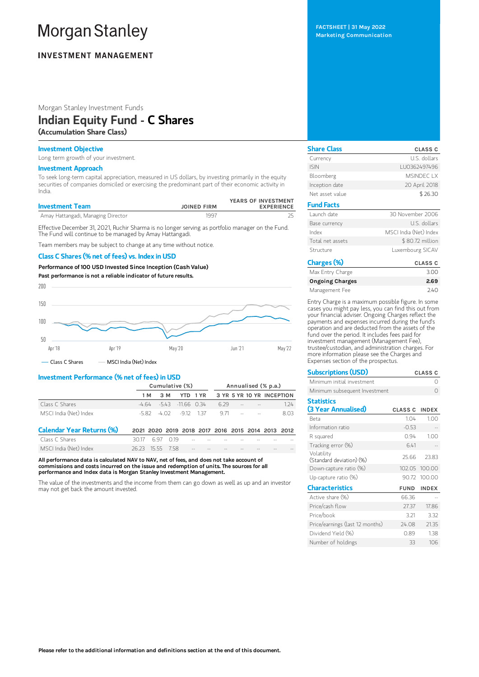# **Morgan Stanley**

# **INVESTMENT MANAGEMENT**

Morgan Stanley Investment Funds

# Indian Equity Fund - C Shares

(Accumulation Share Class)

### Investment Objective

Long term growth of your investment.

# Investment Approach

To seek long-term capital appreciation, measured in US dollars, by investing primarily in the equity securities of companies domiciled or exercising the predominant part of their economic activity in India.

| <b>Investment Team</b>             | <b>JOINED FIRM</b> | YEARS OF INVESTMENT<br><b>EXPERIENCE</b> |
|------------------------------------|--------------------|------------------------------------------|
| Amay Hattangadi, Managing Director | 1997               |                                          |

Effective December 31, 2021, Ruchir Sharma is no longer serving as portfolio manager on the Fund. The Fund will continue to be managed by Amay Hattangadi.

Team members may be subject to change at any time without notice.

#### Class C Shares (% net of fees) vs. Index in USD

Performance of 100 USD Invested Since Inception (Cash Value)



## Investment Performance (% net of fees) in USD

|                                  | Cumulative (%) |       |        |               | Annualised (% p.a.)                               |      |  |                           |  |      |
|----------------------------------|----------------|-------|--------|---------------|---------------------------------------------------|------|--|---------------------------|--|------|
|                                  |                | 1 M   | 3 M    | YTD.          | 1 YR                                              |      |  | 3 YR 5 YR 10 YR INCEPTION |  |      |
| Class C Shares                   | -4 64          |       | $-543$ | $-11.66$ 0.34 |                                                   | 6.29 |  |                           |  | 1.24 |
| MSCI India (Net) Index           |                | -5.82 | -4 02  | -912 137      |                                                   | 971  |  |                           |  | 8.03 |
| <b>Calendar Year Returns (%)</b> |                |       |        |               | 2021 2020 2019 2018 2017 2016 2015 2014 2013 2012 |      |  |                           |  |      |
| Class C Shares                   | 3017           | 697   | O 19   |               |                                                   |      |  |                           |  |      |
| MSCI India (Net) Index           | 26.23          | 15 55 | 758    |               |                                                   |      |  |                           |  |      |

All performance data is calculated NAV to NAV, net of fees, and does not take account of commissions and costs incurred on the issue and redemption of units. The sources for all performance and Index data is Morgan Stanley Investment Management.

The value of the investments and the income from them can go down as well as up and an investor may not get back the amount invested.

FACTSHEET | 31 May 2022 Marketing Communication

| <b>Share Class</b> | <b>CLASS C</b>         |
|--------------------|------------------------|
| Currency           | U.S. dollars           |
| <b>ISIN</b>        | LU0362497496           |
| Bloomberg          | MSINDEC LX             |
| Inception date     | 20 April 2018          |
| Net asset value    | \$26.30                |
| <b>Fund Facts</b>  |                        |
| Launch date        | 30 November 2006       |
| Base currency      | U.S. dollars           |
| Index              | MSCI India (Net) Index |
| Total net assets   | \$80.72 million        |
| Structure          | Luxembourg SICAV       |
| Charges (%)        | <b>CLASS C</b>         |

| עיל כשה ושווש          | ------ |
|------------------------|--------|
| Max Entry Charge       | 3.00   |
| <b>Ongoing Charges</b> | 2.69   |
| Management Fee         | 240    |

Entry Charge is a maximum possible figure. In some cases you might pay less, you can find this out from your financial adviser. Ongoing Charges reflect the payments and expenses incurred during the fund's operation and are deducted from the assets of the fund over the period. It includes fees paid for investment management (Management Fee), trustee/custodian, and administration charges. For more information please see the Charges and Expenses section of the prospectus.

| <b>Subscriptions (USD)</b>             | <b>CLASS C</b>       |               |  |  |
|----------------------------------------|----------------------|---------------|--|--|
| Minimum initial investment             |                      | Ω             |  |  |
| Minimum subsequent Investment          |                      | Ω             |  |  |
| <b>Statistics</b>                      |                      |               |  |  |
| (3 Year Annualised)                    | <b>CLASS C INDEX</b> |               |  |  |
| Reta                                   | 1.04                 | 1.00          |  |  |
| Information ratio                      | $-0.53$              |               |  |  |
| R squared                              | 0.94                 | 1.00          |  |  |
| Tracking error (%)                     | 6.41                 |               |  |  |
| Volatility<br>(Standard deviation) (%) | 25.66                | 23.83         |  |  |
| Down-capture ratio (%)                 |                      | 102.05 100.00 |  |  |
| Up-capture ratio (%)                   |                      | 90.72 100.00  |  |  |
| <b>Characteristics</b>                 | <b>FUND</b>          | <b>INDEX</b>  |  |  |
| Active share (%)                       | 66.36                |               |  |  |
| Price/cash flow                        | 27.37                | 17.86         |  |  |
| Price/book                             | 3.21                 | 3.32          |  |  |
| Price/earnings (last 12 months)        | 24.08                | 21.35         |  |  |
| Dividend Yield (%)                     | 0.89                 | 1.38          |  |  |
| Number of holdings                     | 33                   | 106           |  |  |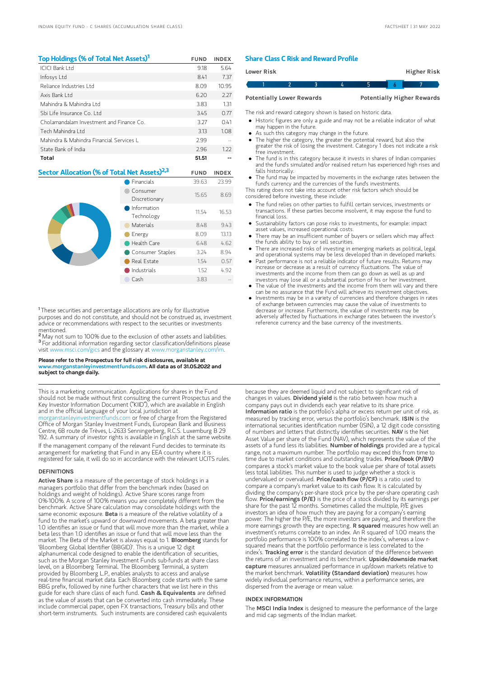| Top Holdings (% of Total Net Assets) <sup>1</sup>        |                           | <b>FUND</b> | <b>INDEX</b> |
|----------------------------------------------------------|---------------------------|-------------|--------------|
| ICICI Bank I td                                          |                           | 9.18        | 5.64         |
| Infosys Ltd                                              |                           | 8.41        | 7.37         |
| Reliance Industries Ltd                                  | 8.09                      | 10.95       |              |
| Axis Bank I td                                           |                           | 6.20        | 2.27         |
| Mahindra & Mahindra I td                                 |                           | 3.83        | 1.31         |
| Shi Life Insurance Co. Ltd.                              | 345                       | 0.77        |              |
| Cholamandalam Investment and Finance Co.                 | 3.27                      | 0.41        |              |
| Tech Mahindra I td                                       | 3.13                      | 1.08        |              |
| Mahindra & Mahindra Financial Services L                 | 2.99                      |             |              |
| State Bank of India                                      | 2.96                      | 1.22        |              |
| Total                                                    |                           | 51.51       |              |
| Sector Allocation (% of Total Net Assets) <sup>2,3</sup> |                           | <b>FUND</b> | <b>INDEX</b> |
|                                                          | <b>Financials</b>         | 39.63       | 23.99        |
|                                                          | Consumer<br>Discretionary | 15.65       | 8.69         |
|                                                          | Information<br>Technology | 11.54       | 16.53        |
|                                                          | Materials                 | 8.48        | 9.43         |
|                                                          | Energy                    | 8.09        | 13.13        |
|                                                          | Health Care               | 6.48        | 4.62         |

<sup>1</sup>These securities and percentage allocations are only for illustrative purposes and do not constitute, and should not be construed as, investment advice or recommendations with respect to the securities or investments mentioned.

Consumer Staples 3.24 8.94 Real Estate 1.54 0.57 Industrials 1.52 4.92 Cash 3.83

<sup>2</sup> May not sum to 100% due to the exclusion of other assets and liabilities. <sup>3</sup> For additional information regarding sector classification/definitions please visit www.msci.com/gics and the glossary at www.morganstanley.com

#### Please refer to the Prospectus for full risk disclosures, available at www.morganstanleyinvestmentfunds.com. All data as of 31.05.2022 and subject to change daily.

This is a marketing communication. Applications for shares in the Fund should not be made without first consulting the current Prospectus and the Key Investor Information Document ("KIID"), which are available in English and in the official language of your local jurisdiction at [morganstanleyinvestmentfunds.com](https://www.morganstanley.com/im/msinvf/index.html) or free of charge from the Registered Office of Morgan Stanley Investment Funds, European Bank and Business Centre, 6B route de Trèves, L-2633 Senningerberg, R.C.S. Luxemburg B 29 192. A summary of investor rights is available in English at the same website. If the management company of the relevant Fund decides to terminate its arrangement for marketing that Fund in any EEA country where it is

registered for sale, it will do so in accordance with the relevant UCITS rules.

#### DEFINITIONS

Active Share is a measure of the percentage of stock holdings in a managers portfolio that differ from the benchmark index (based on holdings and weight of holdings). Active Share scores range from 0%-100%. A score of 100% means you are completely different from the benchmark. Active Share calculation may consolidate holdings with the same economic exposure. Beta is a measure of the relative volatility of a fund to the market's upward or downward movements. A beta greater than 1.0 identifies an issue or fund that will move more than the market, while a beta less than 1.0 identifies an issue or fund that will move less than the market. The Beta of the Market is always equal to 1. Bloomberg stands for 'Bloomberg Global Identifier (BBGID)'. This is a unique 12 digit alphanumerical code designed to enable the identification of securities, such as the Morgan Stanley Investment Funds sub-funds at share class level, on a Bloomberg Terminal. The Bloomberg Terminal, a system provided by Bloomberg L.P., enables analysts to access and analyse real-time financial market data. Each Bloomberg code starts with the same BBG prefix, followed by nine further characters that we list here in this guide for each share class of each fund. Cash & Equivalents are defined as the value of assets that can be converted into cash immediately. These include commercial paper, open FX transactions, Treasury bills and other short-term instruments. Such instruments are considered cash equivalents

#### Share Class C Risk and Reward Profile

| <b>Lower Risk</b>                |  |  |  |                                   | Higher Risk |  |
|----------------------------------|--|--|--|-----------------------------------|-------------|--|
|                                  |  |  |  |                                   |             |  |
| <b>Potentially Lower Rewards</b> |  |  |  | <b>Potentially Higher Rewards</b> |             |  |

The risk and reward category shown is based on historic data.

Historic figures are only a guide and may not be a reliable indicator of what

- may happen in the future. As such this category may change in the future.
- The higher the category, the greater the potential reward, but also the
- greater the risk of losing the investment. Category 1 does not indicate a risk free investment.
- The fund is in this category because it invests in shares of Indian companies and the fund's simulated and/or realised return has experienced high rises and falls historically.
- The fund may be impacted by movements in the exchange rates between the fund's currency and the currencies of the fund's investments.

This rating does not take into account other risk factors which should be considered before investing, these include:

- The fund relies on other parties to fulfill certain services, investments or transactions. If these parties become insolvent, it may expose the fund to financial loss.
- Sustainability factors can pose risks to investments, for example: impact asset values, increased operational costs.
- There may be an insufficient number of buyers or sellers which may affect the funds ability to buy or sell securities.
- There are increased risks of investing in emerging markets as political, legal and operational systems may be less developed than in developed markets.
- Past performance is not a reliable indicator of future results. Returns may increase or decrease as a result of currency fluctuations. The value of investments and the income from them can go down as well as up and investors may lose all or a substantial portion of his or her investment.
- The value of the investments and the income from them will vary and there can be no assurance that the Fund will achieve its investment objectives.
- $\bullet$  Investments may be in a variety of currencies and therefore changes in rates of exchange between currencies may cause the value of investments to decrease or increase. Furthermore, the value of investments may be adversely affected by fluctuations in exchange rates between the investor's reference currency and the base currency of the investments.

because they are deemed liquid and not subject to significant risk of changes in values. Dividend yield is the ratio between how much a company pays out in dividends each year relative to its share price. Information ratio is the portfolio's alpha or excess return per unit of risk, as measured by tracking error, versus the portfolio's benchmark. ISIN is the international securities identification number (ISIN), a 12 digit code consisting of numbers and letters that distinctly identifies securities. NAV is the Net Asset Value per share of the Fund (NAV), which represents the value of the assets of a fund less its liabilities. Number of holdings provided are a typical range, not a maximum number. The portfolio may exceed this from time to time due to market conditions and outstanding trades. Price/book (P/BV) compares a stock's market value to the book value per share of total assets less total liabilities. This number is used to judge whether a stock is undervalued or overvalued. Price/cash flow (P/CF) is a ratio used to compare a company's market value to its cash flow. It is calculated by dividing the company's per-share stock price by the per-share operating cash<br>flow. **Price/earnings (P/E)** is the price of a stock divided by its earnings per share for the past 12 months. Sometimes called the multiple, P/E gives investors an idea of how much they are paying for a company's earning power. The higher the P/E, the more investors are paying, and therefore the more earnings growth they are expecting. **R squared** measures how well an investment's returns correlate to an index. An R squared of 1.00 means the portfolio performance is 100% correlated to the index's, whereas a low rsquared means that the portfolio performance is less correlated to the index's. Tracking error is the standard deviation of the difference between the returns of an investment and its benchmark. Upside/downside market capture measures annualized performance in up/down markets relative to the market benchmark. Volatility (Standard deviation) measures how widely individual performance returns, within a performance series, are dispersed from the average or mean value.

#### INDEX INFORMATION

The MSCI India Index is designed to measure the performance of the large and mid cap segments of the Indian market.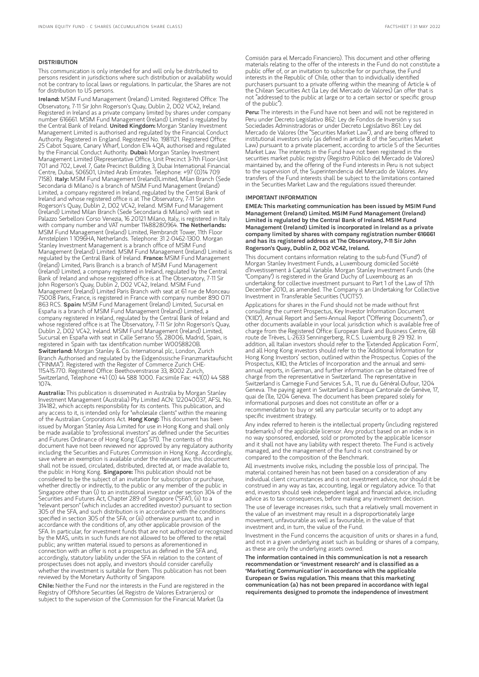#### DISTRIBUTION

This communication is only intended for and will only be distributed to persons resident in jurisdictions where such distribution or availability would not be contrary to local laws or regulations. In particular, the Shares are not for distribution to US persons.

Ireland: MSIM Fund Management (Ireland) Limited. Registered Office: The Observatory, 7-11 Sir John Rogerson's Quay, Dublin 2, D02 VC42, Ireland. Registered in Ireland as a private company limited by shares under company number 616661. MSIM Fund Management (Ireland) Limited is regulated by the Central Bank of Ireland. United Kingdom: Morgan Stanley Investment Management Limited is authorised and regulated by the Financial Conduct Authority. Registered in England. Registered No. 1981121. Registered Office: 25 Cabot Square, Canary Wharf, London E14 4QA, authorised and regulated by the Financial Conduct Authority. Dubai: Morgan Stanley Investment Management Limited (Representative Office, Unit Precinct 3-7th Floor-Unit 701 and 702, Level 7, Gate Precinct Building 3, Dubai International Financial Centre, Dubai, 506501, United Arab Emirates. Telephone: +97 (0)14 709<br>7158). I**taly:** MSIM Fund Management (Ireland)Limited, Milan Branch (Sede Secondaria di Milano) is a branch of MSIM Fund Management (Ireland) Limited, a company registered in Ireland, regulated by the Central Bank of Ireland and whose registered office is at The Observatory, 7-11 Sir John Rogerson's Quay, Dublin 2, D02 VC42, Ireland. MSIM Fund Management (Ireland) Limited Milan Branch (Sede Secondaria di Milano) with seat in Palazzo Serbelloni Corso Venezia, 16 20121 Milano, Italy, is registered in Italy with company number and VAT number 11488280964. The Netherlands: MSIM Fund Management (Ireland) Limited, Rembrandt Tower, 11th Floor Amstelplein 1 1096HA, Netherlands. Telephone: 31 2-0462-1300. Morgan Stanley Investment Management is a branch office of MSIM Fund Management (Ireland) Limited. MSIM Fund Management (Ireland) Limited is regulated by the Central Bank of Ireland. France: MSIM Fund Management (Ireland) Limited, Paris Branch is a branch of MSIM Fund Management (Ireland) Limited, a company registered in Ireland, regulated by the Central Bank of Ireland and whose registered office is at The Observatory, 7-11 Sir John Rogerson's Quay, Dublin 2, D02 VC42, Ireland. MSIM Fund Management (Ireland) Limited Paris Branch with seat at 61 rue de Monceau 75008 Paris, France, is registered in France with company number 890 071 863 RCS. Spain: MSIM Fund Management (Ireland) Limited, Sucursal en España is a branch of MSIM Fund Management (Ireland) Limited, a company registered in Ireland, regulated by the Central Bank of Ireland and whose registered office is at The Observatory, 7-11 Sir John Rogerson's Quay, Dublin 2, D02 VC42, Ireland. MSIM Fund Management (Ireland) Limited, Sucursal en España with seat in Calle Serrano 55, 28006, Madrid, Spain, is registered in Spain with tax identification number W0058820B. Switzerland: Morgan Stanley & Co. International plc, London, Zurich Branch Authorised and regulated by the Eidgenössische Finanzmarktaufsicht ("FINMA"). Registered with the Register of Commerce Zurich CHE-115.415.770. Registered Office: Beethovenstrasse 33, 8002 Zurich, Switzerland, Telephone +41 (0) 44 588 1000. Facsimile Fax: +41(0) 44 588 1074.

Australia: This publication is disseminated in Australia by Morgan Stanley Investment Management (Australia) Pty Limited ACN: 122040037, AFSL No. 314182, which accepts responsibility for its contents. This publication, and any access to it, is intended only for "wholesale clients" within the meaning of the Australian Corporations Act. Hong Kong: This document has been issued by Morgan Stanley Asia Limited for use in Hong Kong and shall only be made available to "professional investors" as defined under the Securities and Futures Ordinance of Hong Kong (Cap 571). The contents of this document have not been reviewed nor approved by any regulatory authority including the Securities and Futures Commission in Hong Kong. Accordingly, save where an exemption is available under the relevant law, this document shall not be issued, circulated, distributed, directed at, or made available to, the public in Hong Kong. Singapore: This publication should not be considered to be the subject of an invitation for subscription or purchase, whether directly or indirectly, to the public or any member of the public in Singapore other than (i) to an institutional investor under section 304 of the Securities and Futures Act, Chapter 289 of Singapore ("SFA"), (ii) to a "relevant person" (which includes an accredited investor) pursuant to section 305 of the SFA, and such distribution is in accordance with the conditions specified in section 305 of the SFA; or (iii) otherwise pursuant to, and in accordance with the conditions of, any other applicable provision of the SFA. In particular, for investment funds that are not authorized or recognized by the MAS, units in such funds are not allowed to be offered to the retail public; any written material issued to persons as aforementioned in connection with an offer is not a prospectus as defined in the SFA and, accordingly, statutory liability under the SFA in relation to the content of prospectuses does not apply, and investors should consider carefully whether the investment is suitable for them. This publication has not been reviewed by the Monetary Authority of Singapore.

Chile: Neither the Fund nor the interests in the Fund are registered in the Registry of Offshore Securities (el Registro de Valores Extranjeros) or subject to the supervision of the Commission for the Financial Market (la

Comisión para el Mercado Financiero). This document and other offering materials relating to the offer of the interests in the Fund do not constitute a public offer of, or an invitation to subscribe for or purchase, the Fund interests in the Republic of Chile, other than to individually identified purchasers pursuant to a private offering within the meaning of Article 4 of the Chilean Securities Act (la Ley del Mercado de Valores) (an offer that is not "addressed to the public at large or to a certain sector or specific group of the public").

Peru: The interests in the Fund have not been and will not be registered in Peru under Decreto Legislativo 862: Ley de Fondos de Inversión y sus Sociedades Administradoras or under Decreto Legislativo 861: Ley del Mercado de Valores (the "Securities Market Law"), and are being offered to institutional investors only (as defined in article 8 of the Securities Market Law) pursuant to a private placement, according to article 5 of the Securities Market Law. The interests in the Fund have not been registered in the securities market public registry (Registro Público del Mercado de Valores) maintained by, and the offering of the Fund interests in Peru is not subject to the supervision of, the Superintendencia del Mercado de Valores. Any transfers of the Fund interests shall be subject to the limitations contained in the Securities Market Law and the regulations issued thereunder.

#### IMPORTANT INFORMATION

EMEA: This marketing communication has been issued by MSIM Fund Management (Ireland) Limited. MSIM Fund Management (Ireland) Limited is regulated by the Central Bank of Ireland. MSIM Fund Management (Ireland) Limited is incorporated in Ireland as a private company limited by shares with company registration number 616661 and has its registered address at The Observatory, 7-11 Sir John Rogerson's Quay, Dublin 2, D02 VC42, Ireland.

This document contains information relating to the sub-fund ("Fund") of Morgan Stanley Investment Funds, a Luxembourg domiciled Société d'Investissement à Capital Variable. Morgan Stanley Investment Funds (the "Company") is registered in the Grand Duchy of Luxembourg as an undertaking for collective investment pursuant to Part 1 of the Law of 17th December 2010, as amended. The Company is an Undertaking for Collective Investment in Transferable Securities ("UCITS").

Applications for shares in the Fund should not be made without first consulting the current Prospectus, Key Investor Information Document ("KIID"), Annual Report and Semi-Annual Report ("Offering Documents"), or other documents available in your local jurisdiction which is available free of charge from the Registered Office: European Bank and Business Centre, 6B route de Trèves, L-2633 Senningerberg, R.C.S. Luxemburg B 29 192. In addition, all Italian investors should refer to the 'Extended Application Form', and all Hong Kong investors should refer to the 'Additional Information for Hong Kong Investors' section, outlined within the Prospectus. Copies of the Prospectus, KIID, the Articles of Incorporation and the annual and semiannual reports, in German, and further information can be obtained free of charge from the representative in Switzerland. The representative in Switzerland is Carnegie Fund Services S.A., 11, rue du Général-Dufour, 1204 Geneva. The paying agent in Switzerland is Banque Cantonale de Genève, 17, quai de l'Ile, 1204 Geneva. The document has been prepared solely for informational purposes and does not constitute an offer or a recommendation to buy or sell any particular security or to adopt any specific investment strategy.

Any index referred to herein is the intellectual property (including registered trademarks) of the applicable licensor. Any product based on an index is in no way sponsored, endorsed, sold or promoted by the applicable licensor and it shall not have any liability with respect thereto. The Fund is actively managed, and the management of the fund is not constrained by or compared to the composition of the Benchmark.

All investments involve risks, including the possible loss of principal. The material contained herein has not been based on a consideration of any individual client circumstances and is not investment advice, nor should it be construed in any way as tax, accounting, legal or regulatory advice. To that end, investors should seek independent legal and financial advice, including advice as to tax consequences, before making any investment decision.

The use of leverage increases risks, such that a relatively small movement in the value of an investment may result in a disproportionately large movement, unfavourable as well as favourable, in the value of that investment and, in turn, the value of the Fund.

Investment in the Fund concerns the acquisition of units or shares in a fund, and not in a given underlying asset such as building or shares of a company, as these are only the underlying assets owned.

The information contained in this communication is not a research recommendation or 'investment research' and is classified as a 'Marketing Communication' in accordance with the applicable European or Swiss regulation. This means that this marketing communication (a) has not been prepared in accordance with legal requirements designed to promote the independence of investment